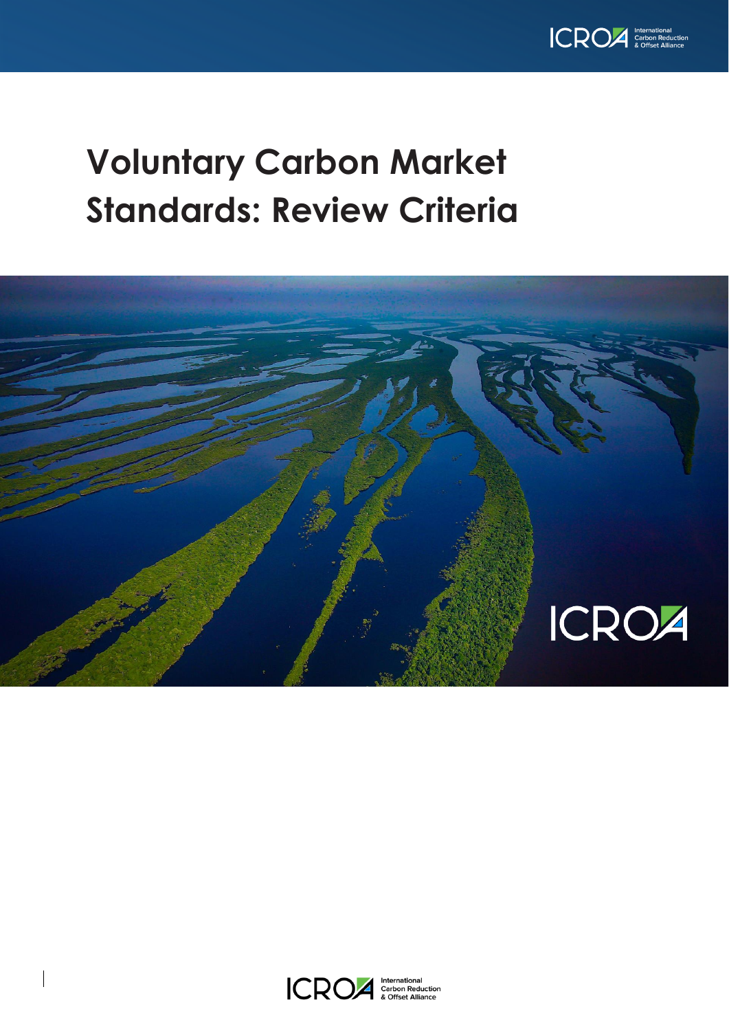

## **Voluntary Carbon Market Standards: Review Criteria**



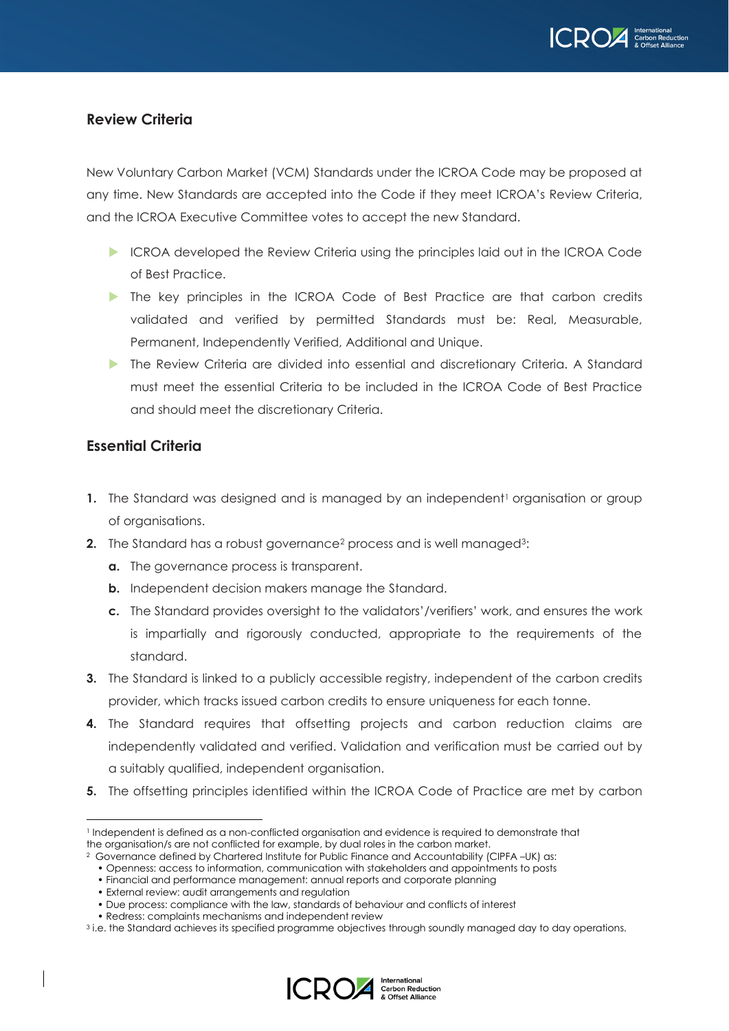

## **Review Criteria**

New Voluntary Carbon Market (VCM) Standards under the ICROA Code may be proposed at any time. New Standards are accepted into the Code if they meet ICROA's Review Criteria, and the ICROA Executive Committee votes to accept the new Standard.

- ICROA developed the Review Criteria using the principles laid out in the ICROA Code of Best Practice.
- The key principles in the ICROA Code of Best Practice are that carbon credits validated and verified by permitted Standards must be: Real, Measurable, Permanent, Independently Verified, Additional and Unique.
- The Review Criteria are divided into essential and discretionary Criteria. A Standard must meet the essential Criteria to be included in the ICROA Code of Best Practice and should meet the discretionary Criteria.

## **Essential Criteria**

- **1.** The Standard was designed and is managed by an independent<sup>1</sup> organisation or group of organisations.
- **2.** The Standard has a robust governance<sup>2</sup> process and is well managed<sup>3</sup>:
	- **a.** The governance process is transparent.
	- **b.** Independent decision makers manage the Standard.
	- **c.** The Standard provides oversight to the validators'/verifiers' work, and ensures the work is impartially and rigorously conducted, appropriate to the requirements of the standard.
- **3.** The Standard is linked to a publicly accessible registry, independent of the carbon credits provider, which tracks issued carbon credits to ensure uniqueness for each tonne.
- **4.** The Standard requires that offsetting projects and carbon reduction claims are independently validated and verified. Validation and verification must be carried out by a suitably qualified, independent organisation.
- **5.** The offsetting principles identified within the ICROA Code of Practice are met by carbon

<sup>&</sup>lt;sup>3</sup> i.e. the Standard achieves its specified programme objectives through soundly managed day to day operations.



<sup>1</sup> Independent is defined as a non-conflicted organisation and evidence is required to demonstrate that the organisation/s are not conflicted for example, by dual roles in the carbon market.

<sup>2</sup> Governance defined by Chartered Institute for Public Finance and Accountability (CIPFA –UK) as:

<sup>•</sup> Openness: access to information, communication with stakeholders and appointments to posts

<sup>•</sup> Financial and performance management: annual reports and corporate planning

<sup>•</sup> External review: audit arrangements and regulation

<sup>•</sup> Due process: compliance with the law, standards of behaviour and conflicts of interest

<sup>•</sup> Redress: complaints mechanisms and independent review